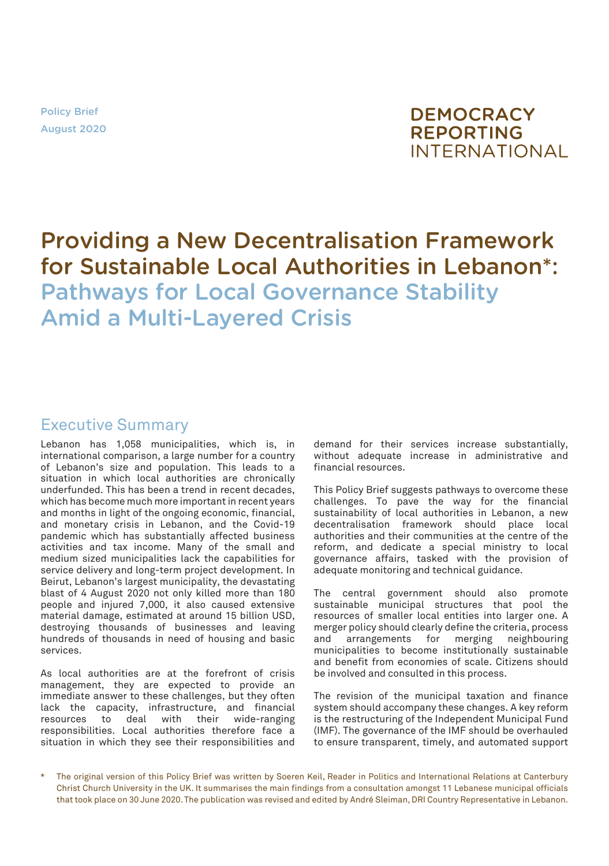Policy Brief August 2020



# Providing a New Decentralisation Framework for Sustainable Local Authorities in Lebanon\*: Pathways for Local Governance Stability Amid a Multi-Layered Crisis

## Executive Summary

Lebanon has 1,058 municipalities, which is, in international comparison, a large number for a country of Lebanon's size and population. This leads to a situation in which local authorities are chronically underfunded. This has been a trend in recent decades, which has become much more important in recent years and months in light of the ongoing economic, financial, and monetary crisis in Lebanon, and the Covid-19 pandemic which has substantially affected business activities and tax income. Many of the small and medium sized municipalities lack the capabilities for service delivery and long-term project development. In Beirut, Lebanon's largest municipality, the devastating blast of 4 August 2020 not only killed more than 180 people and injured 7,000, it also caused extensive material damage, estimated at around 15 billion USD, destroying thousands of businesses and leaving hundreds of thousands in need of housing and basic services.

As local authorities are at the forefront of crisis management, they are expected to provide an immediate answer to these challenges, but they often lack the capacity, infrastructure, and financial resources to deal with their wide-ranging responsibilities. Local authorities therefore face a situation in which they see their responsibilities and

demand for their services increase substantially, without adequate increase in administrative and financial resources.

This Policy Brief suggests pathways to overcome these challenges. To pave the way for the financial sustainability of local authorities in Lebanon, a new decentralisation framework should place local authorities and their communities at the centre of the reform, and dedicate a special ministry to local governance affairs, tasked with the provision of adequate monitoring and technical guidance.

The central government should also promote sustainable municipal structures that pool the resources of smaller local entities into larger one. A merger policy should clearly define the criteria, process and arrangements for merging neighbouring municipalities to become institutionally sustainable and benefit from economies of scale. Citizens should be involved and consulted in this process.

The revision of the municipal taxation and finance system should accompany these changes. A key reform is the restructuring of the Independent Municipal Fund (IMF). The governance of the IMF should be overhauled to ensure transparent, timely, and automated support

The original version of this Policy Brief was written by Soeren Keil, Reader in Politics and International Relations at Canterbury Christ Church University in the UK. It summarises the main findings from a consultation amongst 11 Lebanese municipal officials that took place on 30 June 2020. The publication was revised and edited by André Sleiman, DRI Country Representative in Lebanon.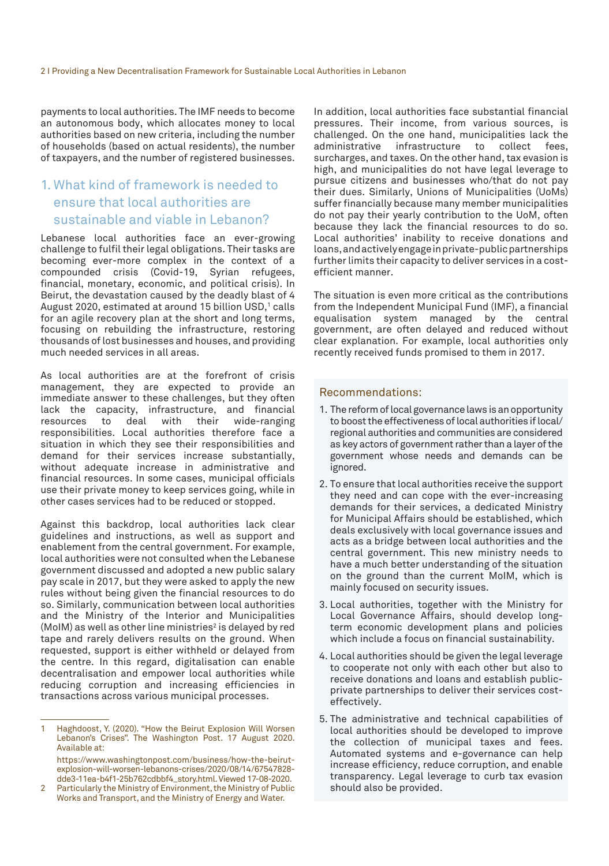payments to local authorities. The IMF needs to become an autonomous body, which allocates money to local authorities based on new criteria, including the number of households (based on actual residents), the number of taxpayers, and the number of registered businesses.

## 1. What kind of framework is needed to ensure that local authorities are sustainable and viable in Lebanon?

Lebanese local authorities face an ever-growing challenge to fulfil their legal obligations. Their tasks are becoming ever-more complex in the context of a compounded crisis (Covid-19, Syrian refugees, financial, monetary, economic, and political crisis). In Beirut, the devastation caused by the deadly blast of 4 August 2020, estimated at around 15 billion USD,1 calls for an agile recovery plan at the short and long terms, focusing on rebuilding the infrastructure, restoring thousands of lost businesses and houses, and providing much needed services in all areas.

As local authorities are at the forefront of crisis management, they are expected to provide an immediate answer to these challenges, but they often lack the capacity, infrastructure, and financial<br>resources to deal with their wide-ranging resources to deal with their wide-ranging responsibilities. Local authorities therefore face a situation in which they see their responsibilities and demand for their services increase substantially, without adequate increase in administrative and financial resources. In some cases, municipal officials use their private money to keep services going, while in other cases services had to be reduced or stopped.

Against this backdrop, local authorities lack clear guidelines and instructions, as well as support and enablement from the central government. For example, local authorities were not consulted when the Lebanese government discussed and adopted a new public salary pay scale in 2017, but they were asked to apply the new rules without being given the financial resources to do so. Similarly, communication between local authorities and the Ministry of the Interior and Municipalities (MoIM) as well as other line ministries $^{\rm 2}$  is delayed by red tape and rarely delivers results on the ground. When requested, support is either withheld or delayed from the centre. In this regard, digitalisation can enable decentralisation and empower local authorities while reducing corruption and increasing efficiencies in transactions across various municipal processes.

In addition, local authorities face substantial financial pressures. Their income, from various sources, is challenged. On the one hand, municipalities lack the administrative infrastructure to collect fees. infrastructure to collect fees, surcharges, and taxes. On the other hand, tax evasion is high, and municipalities do not have legal leverage to pursue citizens and businesses who/that do not pay their dues. Similarly, Unions of Municipalities (UoMs) suffer financially because many member municipalities do not pay their yearly contribution to the UoM, often because they lack the financial resources to do so. Local authorities' inability to receive donations and loans, and actively engage in private-public partnerships further limits their capacity to deliver services in a costefficient manner.

The situation is even more critical as the contributions from the Independent Municipal Fund (IMF), a financial equalisation system managed by the central government, are often delayed and reduced without clear explanation. For example, local authorities only recently received funds promised to them in 2017.

#### Recommendations:

- 1. The reform of local governance laws is an opportunity to boost the effectiveness of local authorities if local/ regional authorities and communities are considered as key actors of government rather than a layer of the government whose needs and demands can be ignored.
- 2. To ensure that local authorities receive the support they need and can cope with the ever-increasing demands for their services, a dedicated Ministry for Municipal Affairs should be established, which deals exclusively with local governance issues and acts as a bridge between local authorities and the central government. This new ministry needs to have a much better understanding of the situation on the ground than the current MoIM, which is mainly focused on security issues.
- 3. Local authorities, together with the Ministry for Local Governance Affairs, should develop longterm economic development plans and policies which include a focus on financial sustainability.
- 4. Local authorities should be given the legal leverage to cooperate not only with each other but also to receive donations and loans and establish publicprivate partnerships to deliver their services costeffectively.
- 5. The administrative and technical capabilities of local authorities should be developed to improve the collection of municipal taxes and fees. Automated systems and e-governance can help increase efficiency, reduce corruption, and enable transparency. Legal leverage to curb tax evasion should also be provided.

<sup>1</sup> Haghdoost, Y. (2020). "How the Beirut Explosion Will Worsen Lebanon's Crises". The Washington Post. 17 August 2020. Available at:

[https://www.washingtonpost.com/business/how-the-beirut](https://www.washingtonpost.com/business/how-the-beirut-explosion-will-worsen-lebanons-crises/2020/08/14/67547828-dde3-11ea-b4f1-25b762cdbbf4_story.html)[explosion-will-worsen-lebanons-crises/2020/08/14/67547828](https://www.washingtonpost.com/business/how-the-beirut-explosion-will-worsen-lebanons-crises/2020/08/14/67547828-dde3-11ea-b4f1-25b762cdbbf4_story.html) [dde3-11ea-b4f1-25b762cdbbf4\\_story.html](https://www.washingtonpost.com/business/how-the-beirut-explosion-will-worsen-lebanons-crises/2020/08/14/67547828-dde3-11ea-b4f1-25b762cdbbf4_story.html). Viewed 17-08-2020.

Particularly the Ministry of Environment, the Ministry of Public Works and Transport, and the Ministry of Energy and Water.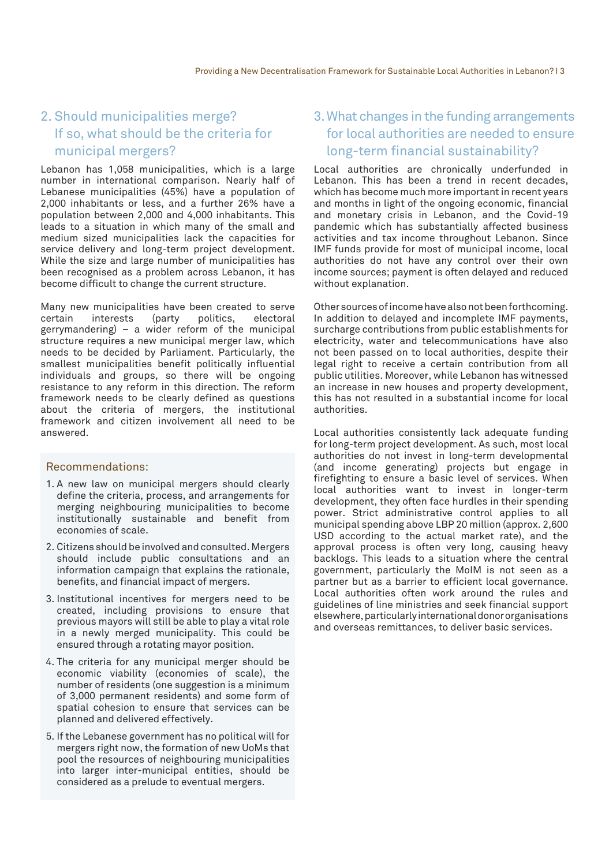### 2. Should municipalities merge? If so, what should be the criteria for municipal mergers?

Lebanon has 1,058 municipalities, which is a large number in international comparison. Nearly half of Lebanese municipalities (45%) have a population of 2,000 inhabitants or less, and a further 26% have a population between 2,000 and 4,000 inhabitants. This leads to a situation in which many of the small and medium sized municipalities lack the capacities for service delivery and long-term project development. While the size and large number of municipalities has been recognised as a problem across Lebanon, it has become difficult to change the current structure.

Many new municipalities have been created to serve<br>certain interests (party politics, electoral interests gerrymandering) – a wider reform of the municipal structure requires a new municipal merger law, which needs to be decided by Parliament. Particularly, the smallest municipalities benefit politically influential individuals and groups, so there will be ongoing resistance to any reform in this direction. The reform framework needs to be clearly defined as questions about the criteria of mergers, the institutional framework and citizen involvement all need to be answered.

#### Recommendations:

- 1. A new law on municipal mergers should clearly define the criteria, process, and arrangements for merging neighbouring municipalities to become institutionally sustainable and benefit from economies of scale.
- 2. Citizens should be involved and consulted. Mergers should include public consultations and an information campaign that explains the rationale, benefits, and financial impact of mergers.
- 3. Institutional incentives for mergers need to be created, including provisions to ensure that previous mayors will still be able to play a vital role in a newly merged municipality. This could be ensured through a rotating mayor position.
- 4. The criteria for any municipal merger should be economic viability (economies of scale), the number of residents (one suggestion is a minimum of 3,000 permanent residents) and some form of spatial cohesion to ensure that services can be planned and delivered effectively.
- 5. If the Lebanese government has no political will for mergers right now, the formation of new UoMs that pool the resources of neighbouring municipalities into larger inter-municipal entities, should be considered as a prelude to eventual mergers.

#### 3. What changes in the funding arrangements for local authorities are needed to ensure long-term financial sustainability?

Local authorities are chronically underfunded in Lebanon. This has been a trend in recent decades, which has become much more important in recent years and months in light of the ongoing economic, financial and monetary crisis in Lebanon, and the Covid-19 pandemic which has substantially affected business activities and tax income throughout Lebanon. Since IMF funds provide for most of municipal income, local authorities do not have any control over their own income sources; payment is often delayed and reduced without explanation.

Other sources of income have also not been forthcoming. In addition to delayed and incomplete IMF payments, surcharge contributions from public establishments for electricity, water and telecommunications have also not been passed on to local authorities, despite their legal right to receive a certain contribution from all public utilities. Moreover, while Lebanon has witnessed an increase in new houses and property development, this has not resulted in a substantial income for local authorities.

Local authorities consistently lack adequate funding for long-term project development. As such, most local authorities do not invest in long-term developmental (and income generating) projects but engage in firefighting to ensure a basic level of services. When local authorities want to invest in longer-term development, they often face hurdles in their spending power. Strict administrative control applies to all municipal spending above LBP 20 million (approx. 2,600 USD according to the actual market rate), and the approval process is often very long, causing heavy backlogs. This leads to a situation where the central government, particularly the MoIM is not seen as a partner but as a barrier to efficient local governance. Local authorities often work around the rules and guidelines of line ministries and seek financial support elsewhere, particularly international donor organisations and overseas remittances, to deliver basic services.